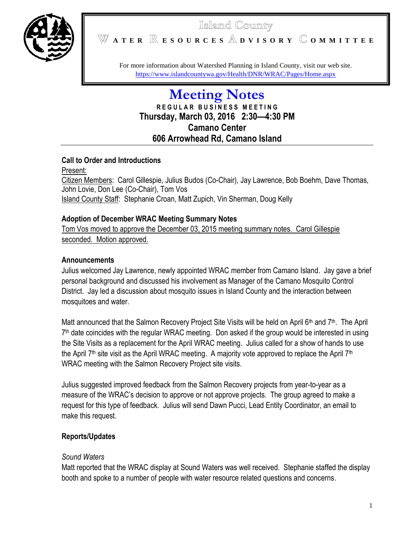

# Island County

**A T E R E S O U R C E S D V I S O R Y O M M I T T E E**

For more information about Watershed Planning in Island County, visit our web site. <https://www.islandcountywa.gov/Health/DNR/WRAC/Pages/Home.aspx>

# **Meeting Notes R E G U L A R B U S I N E S S M E E T I N G Thursday, March 03, 2016 2:30—4:30 PM Camano Center 606 Arrowhead Rd, Camano Island**

#### **Call to Order and Introductions**

Present: Citizen Members: Carol Gillespie, Julius Budos (Co-Chair), Jay Lawrence, Bob Boehm, Dave Thomas, John Lovie, Don Lee (Co-Chair), Tom Vos Island County Staff: Stephanie Croan, Matt Zupich, Vin Sherman, Doug Kelly

#### **Adoption of December WRAC Meeting Summary Notes**

Tom Vos moved to approve the December 03, 2015 meeting summary notes. Carol Gillespie seconded. Motion approved.

### **Announcements**

Julius welcomed Jay Lawrence, newly appointed WRAC member from Camano Island. Jay gave a brief personal background and discussed his involvement as Manager of the Camano Mosquito Control District. Jay led a discussion about mosquito issues in Island County and the interaction between mosquitoes and water.

Matt announced that the Salmon Recovery Project Site Visits will be held on April 6<sup>th</sup> and 7<sup>th</sup>. The April 7<sup>th</sup> date coincides with the regular WRAC meeting. Don asked if the group would be interested in using the Site Visits as a replacement for the April WRAC meeting. Julius called for a show of hands to use the April  $7<sup>th</sup>$  site visit as the April WRAC meeting. A majority vote approved to replace the April  $7<sup>th</sup>$ WRAC meeting with the Salmon Recovery Project site visits.

Julius suggested improved feedback from the Salmon Recovery projects from year-to-year as a measure of the WRAC's decision to approve or not approve projects. The group agreed to make a request for this type of feedback. Julius will send Dawn Pucci, Lead Entity Coordinator, an email to make this request.

## **Reports/Updates**

#### *Sound Waters*

Matt reported that the WRAC display at Sound Waters was well received. Stephanie staffed the display booth and spoke to a number of people with water resource related questions and concerns.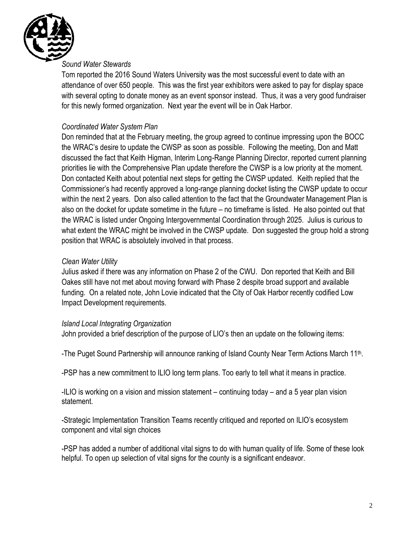

#### *Sound Water Stewards*

Tom reported the 2016 Sound Waters University was the most successful event to date with an attendance of over 650 people. This was the first year exhibitors were asked to pay for display space with several opting to donate money as an event sponsor instead. Thus, it was a very good fundraiser for this newly formed organization. Next year the event will be in Oak Harbor.

#### *Coordinated Water System Plan*

Don reminded that at the February meeting, the group agreed to continue impressing upon the BOCC the WRAC's desire to update the CWSP as soon as possible. Following the meeting, Don and Matt discussed the fact that Keith Higman, Interim Long-Range Planning Director, reported current planning priorities lie with the Comprehensive Plan update therefore the CWSP is a low priority at the moment. Don contacted Keith about potential next steps for getting the CWSP updated. Keith replied that the Commissioner's had recently approved a long-range planning docket listing the CWSP update to occur within the next 2 years. Don also called attention to the fact that the Groundwater Management Plan is also on the docket for update sometime in the future – no timeframe is listed. He also pointed out that the WRAC is listed under Ongoing Intergovernmental Coordination through 2025. Julius is curious to what extent the WRAC might be involved in the CWSP update. Don suggested the group hold a strong position that WRAC is absolutely involved in that process.

#### *Clean Water Utility*

Julius asked if there was any information on Phase 2 of the CWU. Don reported that Keith and Bill Oakes still have not met about moving forward with Phase 2 despite broad support and available funding. On a related note, John Lovie indicated that the City of Oak Harbor recently codified Low Impact Development requirements.

#### *Island Local Integrating Organization*

John provided a brief description of the purpose of LIO's then an update on the following items:

-The Puget Sound Partnership will announce ranking of Island County Near Term Actions March 11<sup>th</sup>.

-PSP has a new commitment to ILIO long term plans. Too early to tell what it means in practice.

-ILIO is working on a vision and mission statement – continuing today – and a 5 year plan vision statement.

-Strategic Implementation Transition Teams recently critiqued and reported on ILIO's ecosystem component and vital sign choices

-PSP has added a number of additional vital signs to do with human quality of life. Some of these look helpful. To open up selection of vital signs for the county is a significant endeavor.